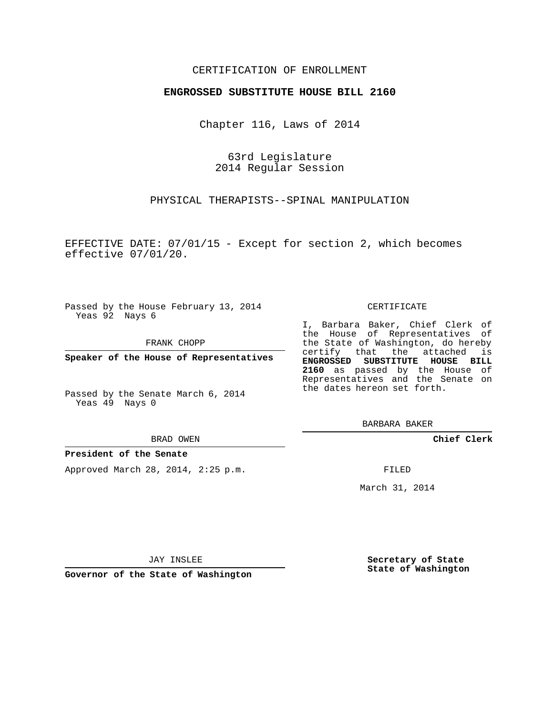## CERTIFICATION OF ENROLLMENT

### **ENGROSSED SUBSTITUTE HOUSE BILL 2160**

Chapter 116, Laws of 2014

63rd Legislature 2014 Regular Session

PHYSICAL THERAPISTS--SPINAL MANIPULATION

EFFECTIVE DATE: 07/01/15 - Except for section 2, which becomes effective 07/01/20.

Passed by the House February 13, 2014 Yeas 92 Nays 6

FRANK CHOPP

**Speaker of the House of Representatives**

Passed by the Senate March 6, 2014 Yeas 49 Nays 0

BRAD OWEN

### **President of the Senate**

Approved March 28, 2014, 2:25 p.m.

#### CERTIFICATE

I, Barbara Baker, Chief Clerk of the House of Representatives of the State of Washington, do hereby certify that the attached is **ENGROSSED SUBSTITUTE HOUSE BILL 2160** as passed by the House of Representatives and the Senate on the dates hereon set forth.

BARBARA BAKER

**Chief Clerk**

FILED

March 31, 2014

JAY INSLEE

**Governor of the State of Washington**

**Secretary of State State of Washington**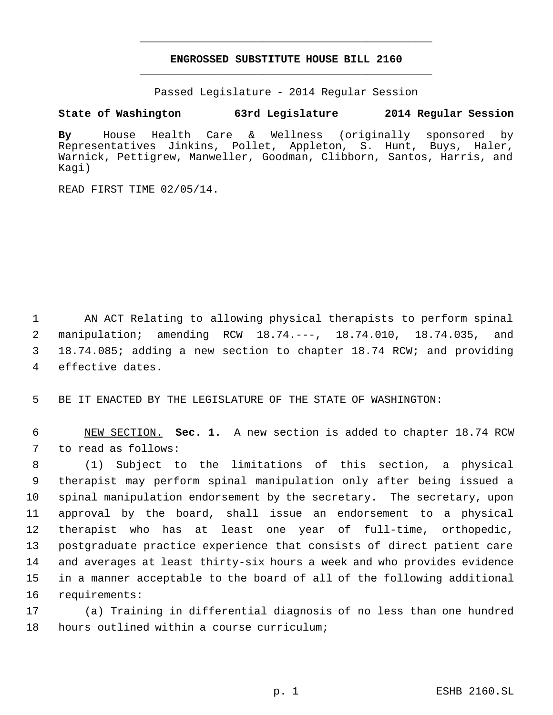# **ENGROSSED SUBSTITUTE HOUSE BILL 2160** \_\_\_\_\_\_\_\_\_\_\_\_\_\_\_\_\_\_\_\_\_\_\_\_\_\_\_\_\_\_\_\_\_\_\_\_\_\_\_\_\_\_\_\_\_

\_\_\_\_\_\_\_\_\_\_\_\_\_\_\_\_\_\_\_\_\_\_\_\_\_\_\_\_\_\_\_\_\_\_\_\_\_\_\_\_\_\_\_\_\_

Passed Legislature - 2014 Regular Session

## **State of Washington 63rd Legislature 2014 Regular Session**

**By** House Health Care & Wellness (originally sponsored by Representatives Jinkins, Pollet, Appleton, S. Hunt, Buys, Haler, Warnick, Pettigrew, Manweller, Goodman, Clibborn, Santos, Harris, and Kagi)

READ FIRST TIME 02/05/14.

 AN ACT Relating to allowing physical therapists to perform spinal manipulation; amending RCW 18.74.---, 18.74.010, 18.74.035, and 18.74.085; adding a new section to chapter 18.74 RCW; and providing effective dates.

BE IT ENACTED BY THE LEGISLATURE OF THE STATE OF WASHINGTON:

 NEW SECTION. **Sec. 1.** A new section is added to chapter 18.74 RCW to read as follows:

 (1) Subject to the limitations of this section, a physical therapist may perform spinal manipulation only after being issued a spinal manipulation endorsement by the secretary. The secretary, upon approval by the board, shall issue an endorsement to a physical therapist who has at least one year of full-time, orthopedic, postgraduate practice experience that consists of direct patient care and averages at least thirty-six hours a week and who provides evidence in a manner acceptable to the board of all of the following additional requirements:

 (a) Training in differential diagnosis of no less than one hundred hours outlined within a course curriculum;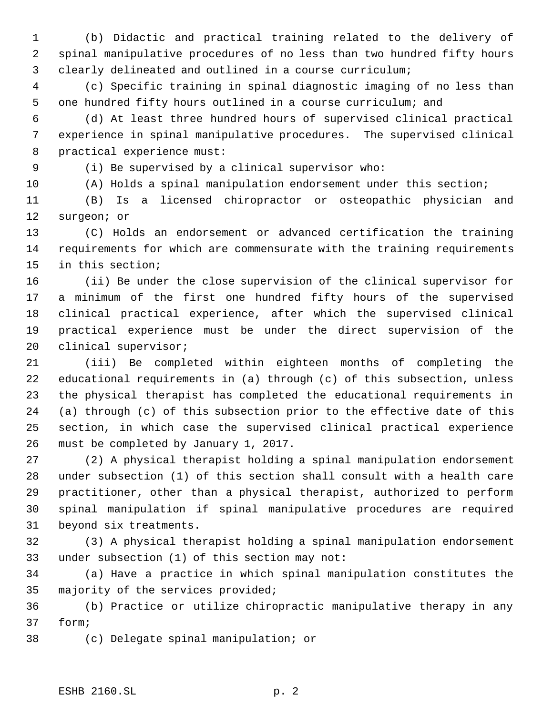(b) Didactic and practical training related to the delivery of spinal manipulative procedures of no less than two hundred fifty hours clearly delineated and outlined in a course curriculum;

 (c) Specific training in spinal diagnostic imaging of no less than one hundred fifty hours outlined in a course curriculum; and

 (d) At least three hundred hours of supervised clinical practical experience in spinal manipulative procedures. The supervised clinical practical experience must:

(i) Be supervised by a clinical supervisor who:

(A) Holds a spinal manipulation endorsement under this section;

 (B) Is a licensed chiropractor or osteopathic physician and surgeon; or

 (C) Holds an endorsement or advanced certification the training requirements for which are commensurate with the training requirements in this section;

 (ii) Be under the close supervision of the clinical supervisor for a minimum of the first one hundred fifty hours of the supervised clinical practical experience, after which the supervised clinical practical experience must be under the direct supervision of the clinical supervisor;

 (iii) Be completed within eighteen months of completing the educational requirements in (a) through (c) of this subsection, unless the physical therapist has completed the educational requirements in (a) through (c) of this subsection prior to the effective date of this section, in which case the supervised clinical practical experience must be completed by January 1, 2017.

 (2) A physical therapist holding a spinal manipulation endorsement under subsection (1) of this section shall consult with a health care practitioner, other than a physical therapist, authorized to perform spinal manipulation if spinal manipulative procedures are required beyond six treatments.

 (3) A physical therapist holding a spinal manipulation endorsement under subsection (1) of this section may not:

 (a) Have a practice in which spinal manipulation constitutes the majority of the services provided;

 (b) Practice or utilize chiropractic manipulative therapy in any form;

(c) Delegate spinal manipulation; or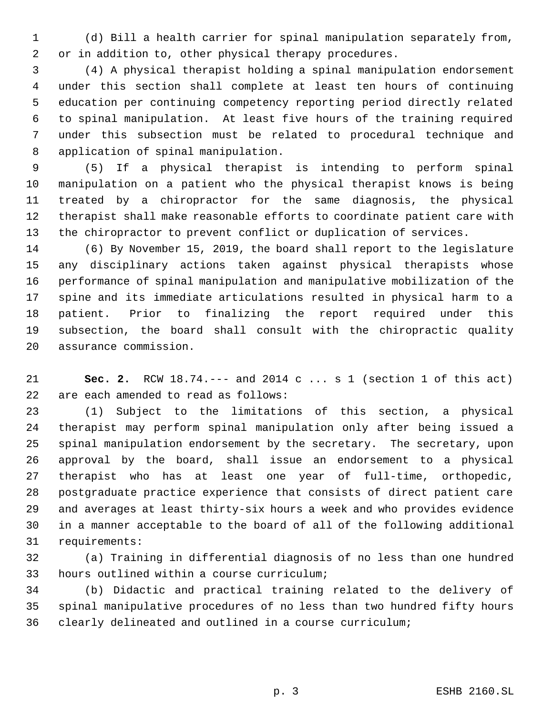(d) Bill a health carrier for spinal manipulation separately from, or in addition to, other physical therapy procedures.

 (4) A physical therapist holding a spinal manipulation endorsement under this section shall complete at least ten hours of continuing education per continuing competency reporting period directly related to spinal manipulation. At least five hours of the training required under this subsection must be related to procedural technique and application of spinal manipulation.

 (5) If a physical therapist is intending to perform spinal manipulation on a patient who the physical therapist knows is being treated by a chiropractor for the same diagnosis, the physical therapist shall make reasonable efforts to coordinate patient care with the chiropractor to prevent conflict or duplication of services.

 (6) By November 15, 2019, the board shall report to the legislature any disciplinary actions taken against physical therapists whose performance of spinal manipulation and manipulative mobilization of the spine and its immediate articulations resulted in physical harm to a patient. Prior to finalizing the report required under this subsection, the board shall consult with the chiropractic quality assurance commission.

 **Sec. 2.** RCW 18.74.--- and 2014 c ... s 1 (section 1 of this act) are each amended to read as follows:

 (1) Subject to the limitations of this section, a physical therapist may perform spinal manipulation only after being issued a spinal manipulation endorsement by the secretary. The secretary, upon approval by the board, shall issue an endorsement to a physical therapist who has at least one year of full-time, orthopedic, postgraduate practice experience that consists of direct patient care and averages at least thirty-six hours a week and who provides evidence in a manner acceptable to the board of all of the following additional requirements:

 (a) Training in differential diagnosis of no less than one hundred hours outlined within a course curriculum;

 (b) Didactic and practical training related to the delivery of spinal manipulative procedures of no less than two hundred fifty hours clearly delineated and outlined in a course curriculum;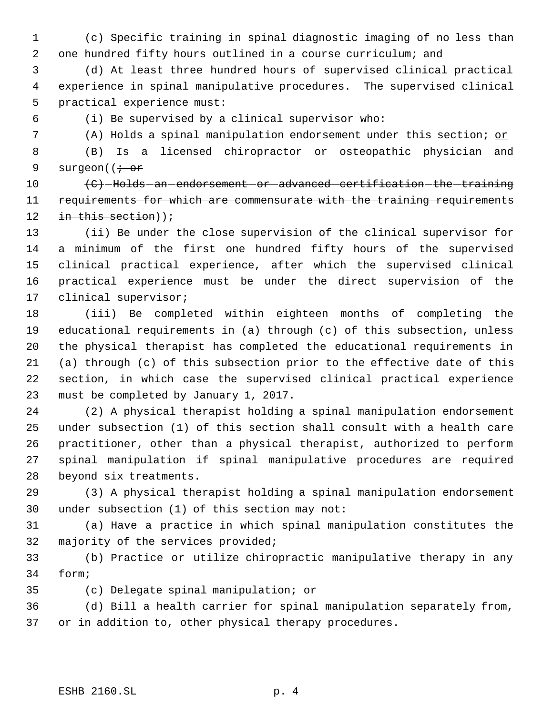(c) Specific training in spinal diagnostic imaging of no less than one hundred fifty hours outlined in a course curriculum; and

 (d) At least three hundred hours of supervised clinical practical experience in spinal manipulative procedures. The supervised clinical practical experience must:

(i) Be supervised by a clinical supervisor who:

(A) Holds a spinal manipulation endorsement under this section; or

 (B) Is a licensed chiropractor or osteopathic physician and 9 surgeon( $\left(i\right)$ or

10 (C) Holds an endorsement or advanced certification the training requirements for which are commensurate with the training requirements 12 in this section));

 (ii) Be under the close supervision of the clinical supervisor for a minimum of the first one hundred fifty hours of the supervised clinical practical experience, after which the supervised clinical practical experience must be under the direct supervision of the clinical supervisor;

 (iii) Be completed within eighteen months of completing the educational requirements in (a) through (c) of this subsection, unless the physical therapist has completed the educational requirements in (a) through (c) of this subsection prior to the effective date of this section, in which case the supervised clinical practical experience must be completed by January 1, 2017.

 (2) A physical therapist holding a spinal manipulation endorsement under subsection (1) of this section shall consult with a health care practitioner, other than a physical therapist, authorized to perform spinal manipulation if spinal manipulative procedures are required beyond six treatments.

 (3) A physical therapist holding a spinal manipulation endorsement under subsection (1) of this section may not:

 (a) Have a practice in which spinal manipulation constitutes the majority of the services provided;

 (b) Practice or utilize chiropractic manipulative therapy in any form;

(c) Delegate spinal manipulation; or

 (d) Bill a health carrier for spinal manipulation separately from, or in addition to, other physical therapy procedures.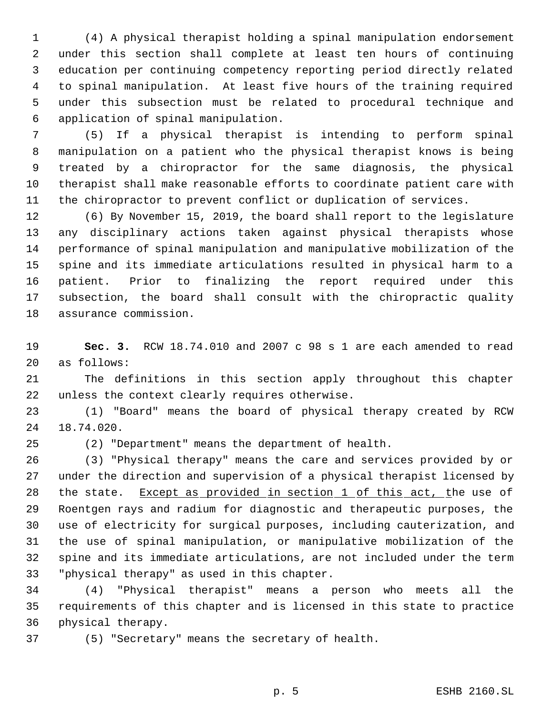(4) A physical therapist holding a spinal manipulation endorsement under this section shall complete at least ten hours of continuing education per continuing competency reporting period directly related to spinal manipulation. At least five hours of the training required under this subsection must be related to procedural technique and application of spinal manipulation.

 (5) If a physical therapist is intending to perform spinal manipulation on a patient who the physical therapist knows is being treated by a chiropractor for the same diagnosis, the physical therapist shall make reasonable efforts to coordinate patient care with the chiropractor to prevent conflict or duplication of services.

 (6) By November 15, 2019, the board shall report to the legislature any disciplinary actions taken against physical therapists whose performance of spinal manipulation and manipulative mobilization of the spine and its immediate articulations resulted in physical harm to a patient. Prior to finalizing the report required under this subsection, the board shall consult with the chiropractic quality assurance commission.

 **Sec. 3.** RCW 18.74.010 and 2007 c 98 s 1 are each amended to read as follows:

 The definitions in this section apply throughout this chapter unless the context clearly requires otherwise.

 (1) "Board" means the board of physical therapy created by RCW 18.74.020.

(2) "Department" means the department of health.

 (3) "Physical therapy" means the care and services provided by or under the direction and supervision of a physical therapist licensed by 28 the state. Except as provided in section 1 of this act, the use of Roentgen rays and radium for diagnostic and therapeutic purposes, the use of electricity for surgical purposes, including cauterization, and the use of spinal manipulation, or manipulative mobilization of the spine and its immediate articulations, are not included under the term "physical therapy" as used in this chapter.

 (4) "Physical therapist" means a person who meets all the requirements of this chapter and is licensed in this state to practice physical therapy.

(5) "Secretary" means the secretary of health.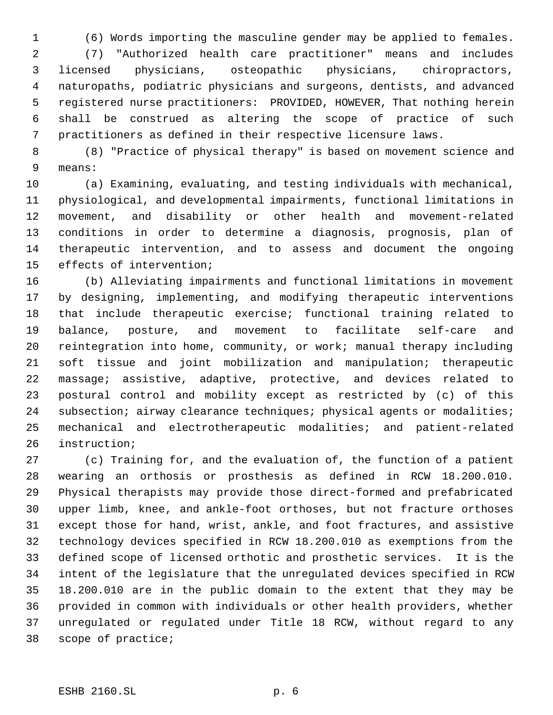(6) Words importing the masculine gender may be applied to females.

 (7) "Authorized health care practitioner" means and includes licensed physicians, osteopathic physicians, chiropractors, naturopaths, podiatric physicians and surgeons, dentists, and advanced registered nurse practitioners: PROVIDED, HOWEVER, That nothing herein shall be construed as altering the scope of practice of such practitioners as defined in their respective licensure laws.

 (8) "Practice of physical therapy" is based on movement science and means:

 (a) Examining, evaluating, and testing individuals with mechanical, physiological, and developmental impairments, functional limitations in movement, and disability or other health and movement-related conditions in order to determine a diagnosis, prognosis, plan of therapeutic intervention, and to assess and document the ongoing effects of intervention;

 (b) Alleviating impairments and functional limitations in movement by designing, implementing, and modifying therapeutic interventions that include therapeutic exercise; functional training related to balance, posture, and movement to facilitate self-care and reintegration into home, community, or work; manual therapy including soft tissue and joint mobilization and manipulation; therapeutic massage; assistive, adaptive, protective, and devices related to postural control and mobility except as restricted by (c) of this 24 subsection; airway clearance techniques; physical agents or modalities; mechanical and electrotherapeutic modalities; and patient-related instruction;

 (c) Training for, and the evaluation of, the function of a patient wearing an orthosis or prosthesis as defined in RCW 18.200.010. Physical therapists may provide those direct-formed and prefabricated upper limb, knee, and ankle-foot orthoses, but not fracture orthoses except those for hand, wrist, ankle, and foot fractures, and assistive technology devices specified in RCW 18.200.010 as exemptions from the defined scope of licensed orthotic and prosthetic services. It is the intent of the legislature that the unregulated devices specified in RCW 18.200.010 are in the public domain to the extent that they may be provided in common with individuals or other health providers, whether unregulated or regulated under Title 18 RCW, without regard to any scope of practice;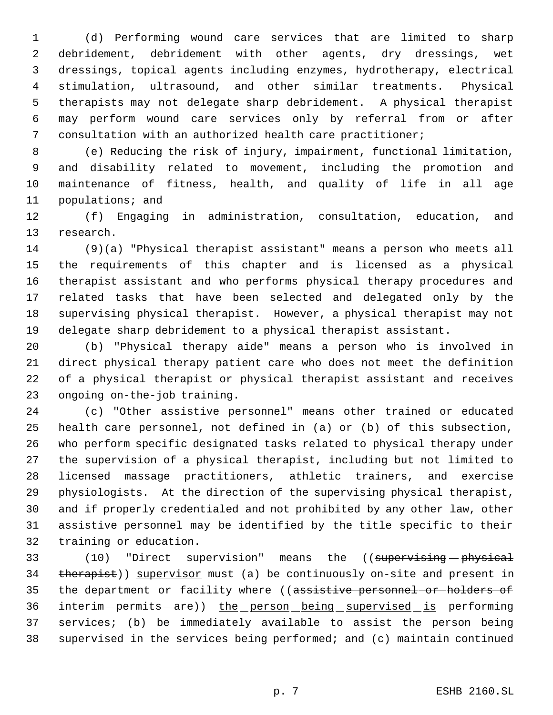(d) Performing wound care services that are limited to sharp debridement, debridement with other agents, dry dressings, wet dressings, topical agents including enzymes, hydrotherapy, electrical stimulation, ultrasound, and other similar treatments. Physical therapists may not delegate sharp debridement. A physical therapist may perform wound care services only by referral from or after consultation with an authorized health care practitioner;

 (e) Reducing the risk of injury, impairment, functional limitation, and disability related to movement, including the promotion and maintenance of fitness, health, and quality of life in all age populations; and

 (f) Engaging in administration, consultation, education, and research.

 (9)(a) "Physical therapist assistant" means a person who meets all the requirements of this chapter and is licensed as a physical therapist assistant and who performs physical therapy procedures and related tasks that have been selected and delegated only by the supervising physical therapist. However, a physical therapist may not delegate sharp debridement to a physical therapist assistant.

 (b) "Physical therapy aide" means a person who is involved in direct physical therapy patient care who does not meet the definition of a physical therapist or physical therapist assistant and receives ongoing on-the-job training.

 (c) "Other assistive personnel" means other trained or educated health care personnel, not defined in (a) or (b) of this subsection, who perform specific designated tasks related to physical therapy under the supervision of a physical therapist, including but not limited to licensed massage practitioners, athletic trainers, and exercise physiologists. At the direction of the supervising physical therapist, and if properly credentialed and not prohibited by any other law, other assistive personnel may be identified by the title specific to their training or education.

33 (10) "Direct supervision" means the ((supervising physical 34 therapist)) supervisor must (a) be continuously on-site and present in 35 the department or facility where ((assistive personnel or holders of 36 interim-permits-are)) the person being supervised is performing services; (b) be immediately available to assist the person being supervised in the services being performed; and (c) maintain continued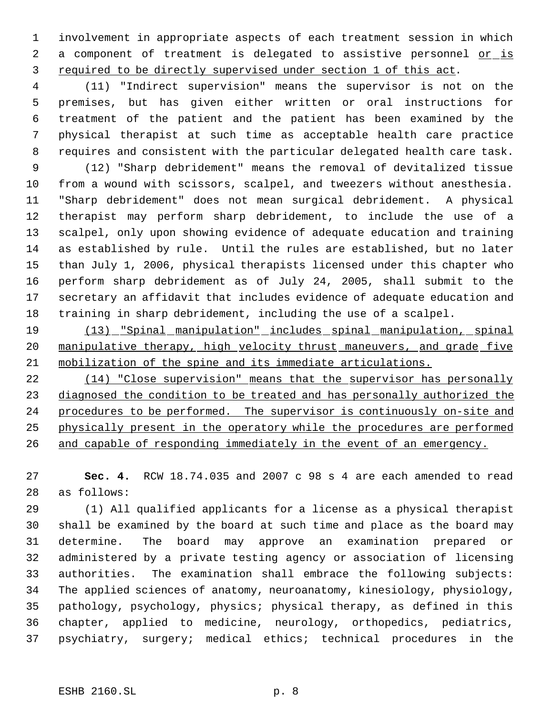involvement in appropriate aspects of each treatment session in which 2 a component of treatment is delegated to assistive personnel or is required to be directly supervised under section 1 of this act.

 (11) "Indirect supervision" means the supervisor is not on the premises, but has given either written or oral instructions for treatment of the patient and the patient has been examined by the physical therapist at such time as acceptable health care practice requires and consistent with the particular delegated health care task.

 (12) "Sharp debridement" means the removal of devitalized tissue from a wound with scissors, scalpel, and tweezers without anesthesia. "Sharp debridement" does not mean surgical debridement. A physical therapist may perform sharp debridement, to include the use of a scalpel, only upon showing evidence of adequate education and training as established by rule. Until the rules are established, but no later than July 1, 2006, physical therapists licensed under this chapter who perform sharp debridement as of July 24, 2005, shall submit to the secretary an affidavit that includes evidence of adequate education and training in sharp debridement, including the use of a scalpel.

 (13) "Spinal manipulation" includes spinal manipulation, spinal 20 manipulative therapy, high velocity thrust maneuvers, and grade five mobilization of the spine and its immediate articulations.

 (14) "Close supervision" means that the supervisor has personally diagnosed the condition to be treated and has personally authorized the procedures to be performed. The supervisor is continuously on-site and physically present in the operatory while the procedures are performed 26 and capable of responding immediately in the event of an emergency.

 **Sec. 4.** RCW 18.74.035 and 2007 c 98 s 4 are each amended to read as follows:

 (1) All qualified applicants for a license as a physical therapist shall be examined by the board at such time and place as the board may determine. The board may approve an examination prepared or administered by a private testing agency or association of licensing authorities. The examination shall embrace the following subjects: The applied sciences of anatomy, neuroanatomy, kinesiology, physiology, pathology, psychology, physics; physical therapy, as defined in this chapter, applied to medicine, neurology, orthopedics, pediatrics, psychiatry, surgery; medical ethics; technical procedures in the